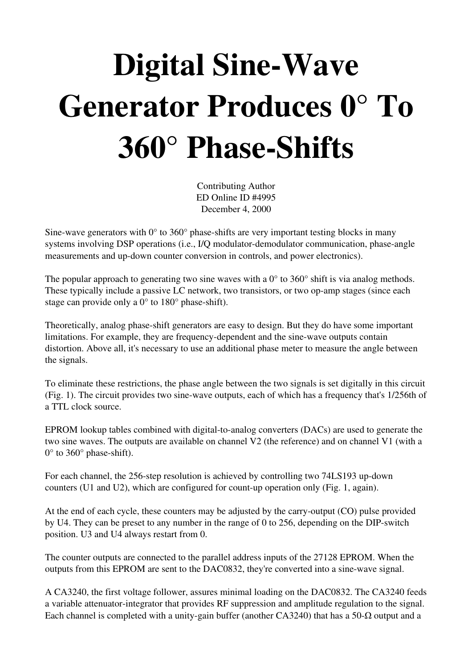## Digital Sine-Wave Generator Produces 0° To  $360^\circ$  Phase-Shifts

Contributing Author ED Online ID #4995 December 4, 2000

Sine-wave generators with  $0^{\circ}$  to 360° phase-shifts are very important testing blocks in many systems involving DSP operations (i.e., I/Q modulator-demodulator communication, phase-angle measurements and up-down counter conversion in controls, and power electronics).

The popular approach to generating two sine waves with a  $0^{\circ}$  to 360 $^{\circ}$  shift is via analog methods. These typically include a passive LC network, two transistors, or two op-amp stages (since each stage can provide only a  $0^{\circ}$  to  $180^{\circ}$  phase-shift).

Theoretically, analog phase-shift generators are easy to design. But they do have some important limitations. For example, they are frequency-dependent and the sine-wave outputs contain distortion. Above all, it's necessary to use an additional phase meter to measure the angle between the signals.

To eliminate these restrictions, the phase angle between the two signals is set digitally in this circuit (Fig. 1). The circuit provides two sine-wave outputs, each of which has a frequency that's 1/256th of a TTL clock source.

EPROM lookup tables combined with digital-to-analog converters (DACs) are used to generate the two sine waves. The outputs are available on channel V2 (the reference) and on channel V1 (with a  $0^{\circ}$  to 360 $^{\circ}$  phase-shift).

For each channel, the 256-step resolution is achieved by controlling two 74LS193 up-down counters (U1 and U2), which are configured for count-up operation only (Fig. 1, again).

At the end of each cycle, these counters may be adjusted by the carry-output (CO) pulse provided by U4. They can be preset to any number in the range of 0 to 256, depending on the DIP-switch position. U3 and U4 always restart from 0.

The counter outputs are connected to the parallel address inputs of the 27128 EPROM. When the outputs from this EPROM are sent to the DAC0832, they're converted into a sinewave signal.

A CA3240, the first voltage follower, assures minimal loading on the DAC0832. The CA3240 feeds a variable attenuator-integrator that provides RF suppression and amplitude regulation to the signal. Each channel is completed with a unity-gain buffer (another CA3240) that has a 50- $\Omega$  output and a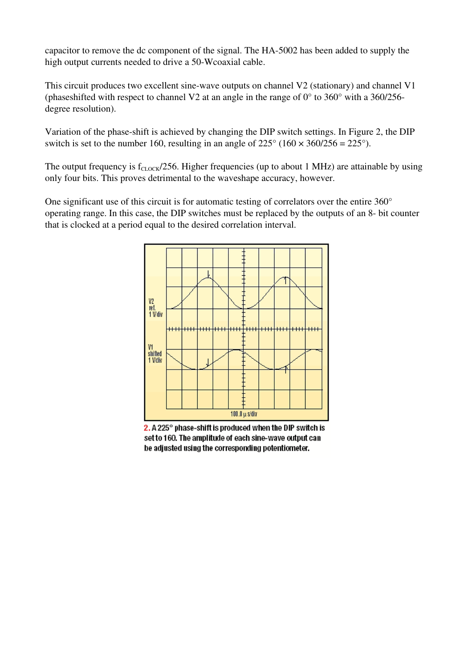capacitor to remove the dc component of the signal. The HA-5002 has been added to supply the high output currents needed to drive a 50-Wcoaxial cable.

This circuit produces two excellent sine-wave outputs on channel V2 (stationary) and channel V1 (phaseshifted with respect to channel V2 at an angle in the range of 0° to 360° with a 360/256 degree resolution).

Variation of the phase-shift is achieved by changing the DIP switch settings. In Figure 2, the DIP switch is set to the number 160, resulting in an angle of  $225^{\circ}$  (160  $\times$  360/256 =  $225^{\circ}$ ).

The output frequency is  $f_{\text{CLOCK}}/256$ . Higher frequencies (up to about 1 MHz) are attainable by using only four bits. This proves detrimental to the waveshape accuracy, however.

One significant use of this circuit is for automatic testing of correlators over the entire 360° operating range. In this case, the DIP switches must be replaced by the outputs of an 8- bit counter that is clocked at a period equal to the desired correlation interval.



 $2.$  A 225 $^{\circ}$  phase-shift is produced when the DIP switch is set to 160. The amplitude of each sine-wave output can be adjusted using the corresponding potentiometer.